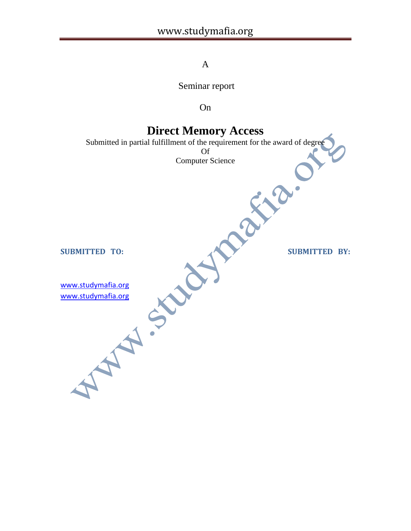### A

Seminar report

On

### **Direct Memory Access**

Submitted in partial fulfillment of the requirement for the award of degree

Of Computer Science

SUBMITTED TO: SUBMITTED BY:

[www.studymafia.org](http://www.studymafia.org/) [www.studymafia.org](http://www.studymafia.org/)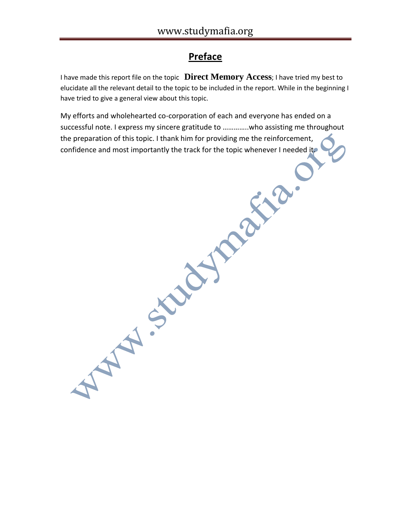## **Preface**

I have made this report file on the topic **Direct Memory Access**; I have tried my best to elucidate all the relevant detail to the topic to be included in the report. While in the beginning I have tried to give a general view about this topic.

My efforts and wholehearted co-corporation of each and everyone has ended on a successful note. I express my sincere gratitude to …………..who assisting me throughout the preparation of this topic. I thank him for providing me the reinforcement, Confidence and most importantly the track for the topic whenever I needed it.<br>
Confidence and most importantly the track for the topic whenever I needed it.<br>
Confidence and most importantly the track for the topic whenever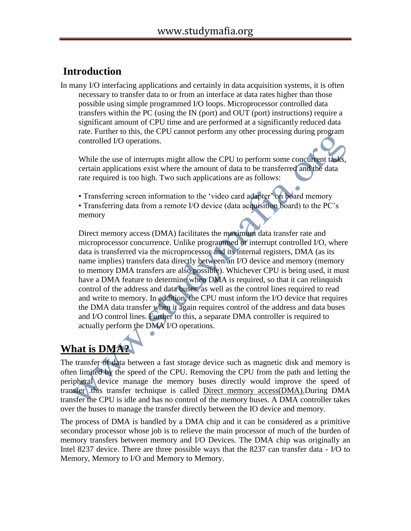## **Introduction**

In many I/O interfacing applications and certainly in data acquisition systems, it is often necessary to transfer data to or from an interface at data rates higher than those possible using simple programmed I/O loops. Microprocessor controlled data transfers within the PC (using the IN (port) and OUT (port) instructions) require a significant amount of CPU time and are performed at a significantly reduced data rate. Further to this, the CPU cannot perform any other processing during program controlled I/O operations.

While the use of interrupts might allow the CPU to perform some concurrent tasks, certain applications exist where the amount of data to be transferred and the data rate required is too high. Two such applications are as follows:

• Transferring screen information to the 'video card adapter' on board memory

• Transferring data from a remote I/O device (data acquisition board) to the PC's memory

Direct memory access (DMA) facilitates the maximum data transfer rate and microprocessor concurrence. Unlike programmed or interrupt controlled I/O, where data is transferred via the microprocessor and its internal registers, DMA (as its name implies) transfers data directly between an I/O device and memory (memory to memory DMA transfers are also possible). Whichever CPU is being used, it must have a DMA feature to determine when DMA is required, so that it can relinquish control of the address and data buses, as well as the control lines required to read and write to memory. In addition, the CPU must inform the I/O device that requires the DMA data transfer when it again requires control of the address and data buses and I/O control lines. Further to this, a separate DMA controller is required to actually perform the DMA I/O operations.

# **What is DMA?**

The transfer of data between a fast storage device such as magnetic disk and memory is often limited by the speed of the CPU. Removing the CPU from the path and letting the peripheral device manage the memory buses directly would improve the speed of transfer .this transfer technique is called Direct memory access(DMA).During DMA transfer the CPU is idle and has no control of the memory buses. A DMA controller takes over the buses to manage the transfer directly between the IO device and memory.

The process of DMA is handled by a DMA chip and it can be considered as a primitive secondary processor whose job is to relieve the main processor of much of the burden of memory transfers between memory and I/O Devices. The DMA chip was originally an Intel 8237 device. There are three possible ways that the 8237 can transfer data - I/O to Memory, Memory to I/O and Memory to Memory.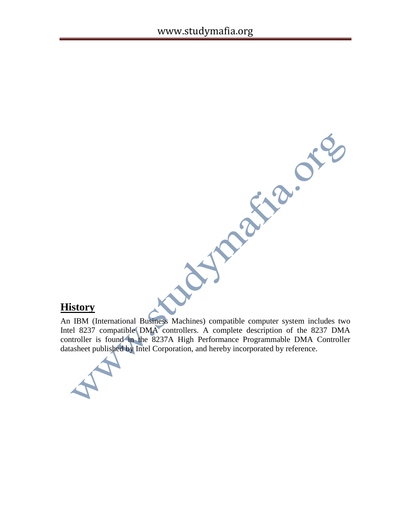### **History**

History<br>An IBM (International Business Machines) compatible computer system includes two<br>Intel 8237 compatible DMA controllers. A complete description of the controller Intel 8237 compatible DMA controllers. A complete description of the 8237 DMA controller is found in the 8237A High Performance Programmable DMA Controller datasheet published by Intel Corporation, and hereby incorporated by reference.

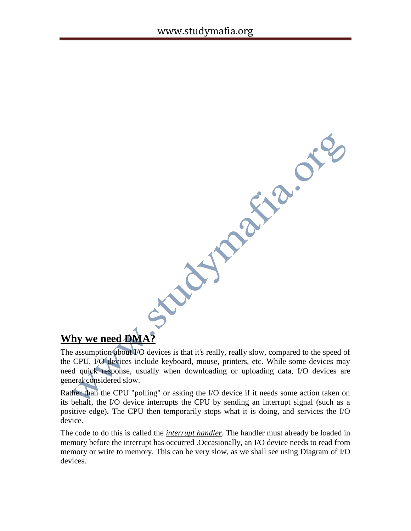Why we need **DMA?**<br>The assumption about 10 devices is that it's really, really street and the CPU. The sammption about 10 devices is that it's really, really street and the control and the control of the control and the st

The assumption about I/O devices is that it's really, really slow, compared to the speed of the CPU. I/O devices include keyboard, mouse, printers, etc. While some devices may need quick response, usually when downloading or uploading data, I/O devices are general considered slow.

Rather than the CPU "polling" or asking the I/O device if it needs some action taken on its behalf, the I/O device interrupts the CPU by sending an interrupt signal (such as a positive edge). The CPU then temporarily stops what it is doing, and services the I/O device.

The code to do this is called the *interrupt handler*. The handler must already be loaded in memory before the interrupt has occurred .Occasionally, an I/O device needs to read from memory or write to memory. This can be very slow, as we shall see using Diagram of I/O devices.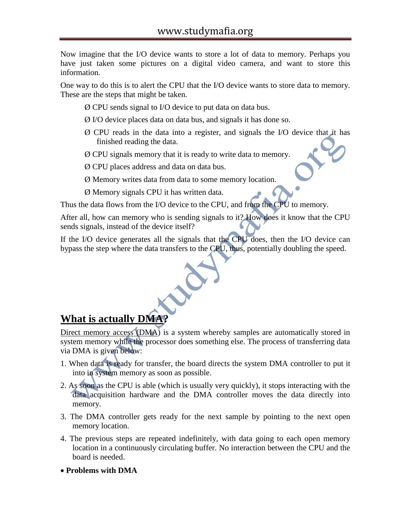Now imagine that the I/O device wants to store a lot of data to memory. Perhaps you have just taken some pictures on a digital video camera, and want to store this information.

One way to do this is to alert the CPU that the I/O device wants to store data to memory. These are the steps that might be taken.

- Ø CPU sends signal to I/O device to put data on data bus.
- Ø I/O device places data on data bus, and signals it has done so.
- Ø CPU reads in the data into a register, and signals the I/O device that it has finished reading the data.
- Ø CPU signals memory that it is ready to write data to memory.
- Ø CPU places address and data on data bus.
- Ø Memory writes data from data to some memory location.
- Ø Memory signals CPU it has written data.

Thus the data flows from the I/O device to the CPU, and from the CPU to memory.

After all, how can memory who is sending signals to it? How does it know that the CPU sends signals, instead of the device itself?

If the I/O device generates all the signals that the CPU does, then the I/O device can bypass the step where the data transfers to the CPU, thus, potentially doubling the speed.

## **What is actually DMA?**

Direct memory access (DMA) is a system whereby samples are automatically stored in system memory while the processor does something else. The process of transferring data via DMA is given below:

- 1. When data is ready for transfer, the board directs the system DMA controller to put it into in system memory as soon as possible.
- 2. As soon as the CPU is able (which is usually very quickly), it stops interacting with the data acquisition hardware and the DMA controller moves the data directly into memory.
- 3. The DMA controller gets ready for the next sample by pointing to the next open memory location.
- 4. The previous steps are repeated indefinitely, with data going to each open memory location in a continuously circulating buffer. No interaction between the CPU and the board is needed.
- **Problems with DMA**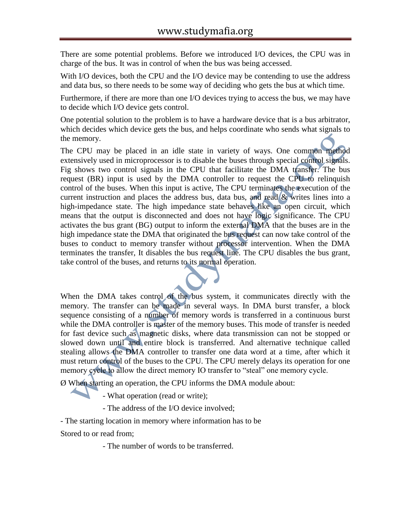There are some potential problems. Before we introduced I/O devices, the CPU was in charge of the bus. It was in control of when the bus was being accessed.

With I/O devices, both the CPU and the I/O device may be contending to use the address and data bus, so there needs to be some way of deciding who gets the bus at which time.

Furthermore, if there are more than one I/O devices trying to access the bus, we may have to decide which I/O device gets control.

One potential solution to the problem is to have a hardware device that is a bus arbitrator, which decides which device gets the bus, and helps coordinate who sends what signals to the memory.

The CPU may be placed in an idle state in variety of ways. One common method extensively used in microprocessor is to disable the buses through special control signals. Fig shows two control signals in the CPU that facilitate the DMA transfer. The bus request (BR) input is used by the DMA controller to request the CPU to relinquish control of the buses. When this input is active, The CPU terminates the execution of the current instruction and places the address bus, data bus, and read & writes lines into a high-impedance state. The high impedance state behaves like an open circuit, which means that the output is disconnected and does not have logic significance. The CPU activates the bus grant (BG) output to inform the external DMA that the buses are in the high impedance state the DMA that originated the bus request can now take control of the buses to conduct to memory transfer without processor intervention. When the DMA terminates the transfer, It disables the bus request line. The CPU disables the bus grant, take control of the buses, and returns to its normal operation.



Ø When starting an operation, the CPU informs the DMA module about:

- What operation (read or write);

- The address of the I/O device involved;

- The starting location in memory where information has to be

Stored to or read from;

- The number of words to be transferred.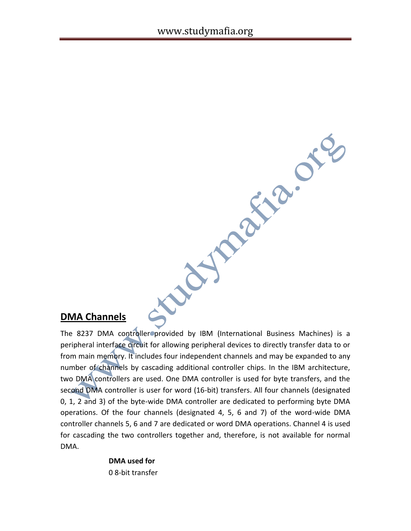### **DMA Channels**

The 8237 DMA controller provided by IBM (International Business Machines) is a peripheral interface circuit for allowing peripheral devices to directly transfer data to or from main memory. It includes four independent channels and may be expanded to any number of channels by cascading additional controller chips. In the IBM architecture, two DMA controllers are used. One DMA controller is used for byte transfers, and the second DMA controller is user for word (16-bit) transfers. All four channels (designated 0, 1, 2 and 3) of the byte-wide DMA controller are dedicated to performing byte DMA operations. Of the four channels (designated 4, 5, 6 and 7) of the word-wide DMA controller channels 5, 6 and 7 are dedicated or word DMA operations. Channel 4 is used for cascading the two controllers together and, therefore, is not available for normal DMA.

10 AV

**WAREN** OTE

**DMA used for** 0 8-bit transfer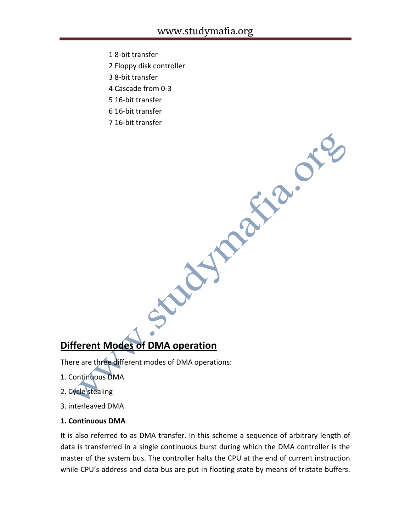- 1 8-bit transfer
- 2 Floppy disk controller
- 3 8-bit transfer
- 4 Cascade from 0-3
- 5 16-bit transfer
- 
- 6 16-bit transfer<br>7 16-bit transfer<br>And March 2000 7 16-bit transfer

### **Different Modes of DMA operation**

There are three different modes of DMA operations:

- 1. Continuous DMA
- 2. Cycle stealing
- 3. interleaved DMA

#### **1. Continuous DMA**

It is also referred to as DMA transfer. In this scheme a sequence of arbitrary length of data is transferred in a single continuous burst during which the DMA controller is the master of the system bus. The controller halts the CPU at the end of current instruction while CPU's address and data bus are put in floating state by means of tristate buffers.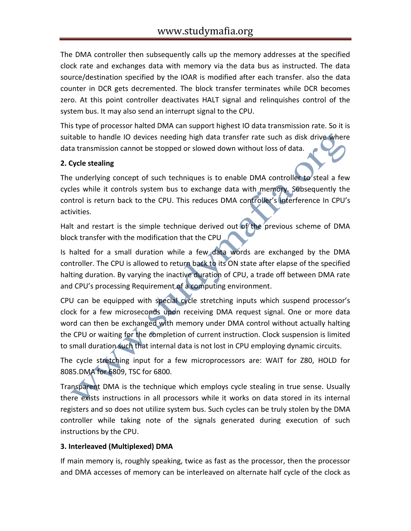The DMA controller then subsequently calls up the memory addresses at the specified clock rate and exchanges data with memory via the data bus as instructed. The data source/destination specified by the IOAR is modified after each transfer. also the data counter in DCR gets decremented. The block transfer terminates while DCR becomes zero. At this point controller deactivates HALT signal and relinquishes control of the system bus. It may also send an interrupt signal to the CPU.

This type of processor halted DMA can support highest IO data transmission rate. So it is suitable to handle IO devices needing high data transfer rate such as disk drive where data transmission cannot be stopped or slowed down without loss of data.

#### **2. Cycle stealing**

The underlying concept of such techniques is to enable DMA controller to steal a few cycles while it controls system bus to exchange data with memory. Subsequently the control is return back to the CPU. This reduces DMA controller's interference In CPU's activities.

Halt and restart is the simple technique derived out of the previous scheme of DMA block transfer with the modification that the CPU

Is halted for a small duration while a few data words are exchanged by the DMA controller. The CPU is allowed to return back to its ON state after elapse of the specified halting duration. By varying the inactive duration of CPU, a trade off between DMA rate and CPU's processing Requirement of a computing environment.

CPU can be equipped with special cycle stretching inputs which suspend processor's clock for a few microseconds upon receiving DMA request signal. One or more data word can then be exchanged with memory under DMA control without actually halting the CPU or waiting for the completion of current instruction. Clock suspension is limited to small duration such that internal data is not lost in CPU employing dynamic circuits.

The cycle stretching input for a few microprocessors are: WAIT for Z80, HOLD for 8085.DMA for 6809, TSC for 6800.

Transparent DMA is the technique which employs cycle stealing in true sense. Usually there exists instructions in all processors while it works on data stored in its internal registers and so does not utilize system bus. Such cycles can be truly stolen by the DMA controller while taking note of the signals generated during execution of such instructions by the CPU.

#### **3. Interleaved (Multiplexed) DMA**

If main memory is, roughly speaking, twice as fast as the processor, then the processor and DMA accesses of memory can be interleaved on alternate half cycle of the clock as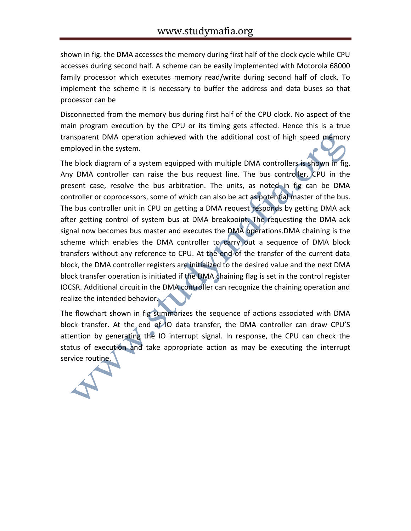shown in fig. the DMA accesses the memory during first half of the clock cycle while CPU accesses during second half. A scheme can be easily implemented with Motorola 68000 family processor which executes memory read/write during second half of clock. To implement the scheme it is necessary to buffer the address and data buses so that processor can be

Disconnected from the memory bus during first half of the CPU clock. No aspect of the main program execution by the CPU or its timing gets affected. Hence this is a true transparent DMA operation achieved with the additional cost of high speed memory employed in the system.

The block diagram of a system equipped with multiple DMA controllers is shown in fig. Any DMA controller can raise the bus request line. The bus controller, CPU in the present case, resolve the bus arbitration. The units, as noted in fig can be DMA controller or coprocessors, some of which can also be act as potential master of the bus. The bus controller unit in CPU on getting a DMA request responds by getting DMA ack after getting control of system bus at DMA breakpoint. The requesting the DMA ack signal now becomes bus master and executes the DMA operations.DMA chaining is the scheme which enables the DMA controller to carry out a sequence of DMA block transfers without any reference to CPU. At the end of the transfer of the current data block, the DMA controller registers are initialized to the desired value and the next DMA block transfer operation is initiated if the DMA chaining flag is set in the control register IOCSR. Additional circuit in the DMA controller can recognize the chaining operation and realize the intended behavior.

The flowchart shown in fig summarizes the sequence of actions associated with DMA block transfer. At the end of IO data transfer, the DMA controller can draw CPU'S attention by generating the IO interrupt signal. In response, the CPU can check the status of execution and take appropriate action as may be executing the interrupt service routine.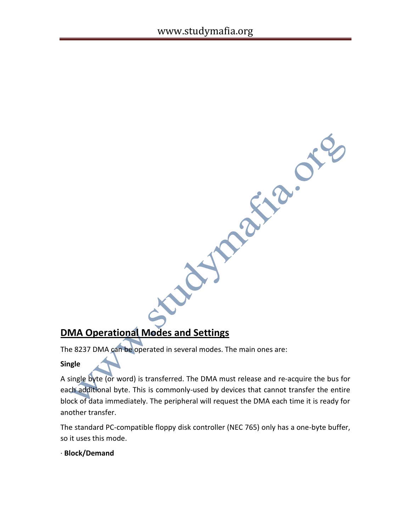## **DMA Operational Modes and Settings**

The 8237 DMA can be operated in several modes. The main ones are:

#### **Single**

A single byte (or word) is transferred. The DMA must release and re-acquire the bus for each additional byte. This is commonly-used by devices that cannot transfer the entire block of data immediately. The peripheral will request the DMA each time it is ready for another transfer.

Aymaxa.org

The standard PC-compatible floppy disk controller (NEC 765) only has a one-byte buffer, so it uses this mode.

#### · **Block/Demand**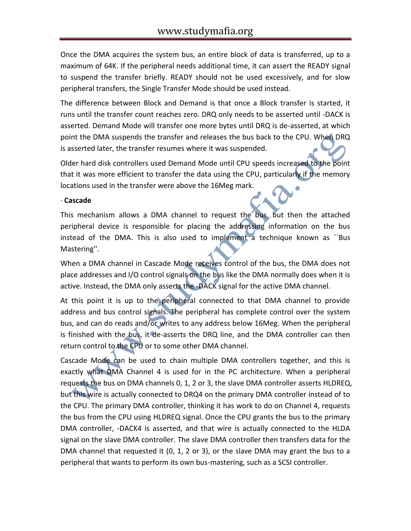Once the DMA acquires the system bus, an entire block of data is transferred, up to a maximum of 64K. If the peripheral needs additional time, it can assert the READY signal to suspend the transfer briefly. READY should not be used excessively, and for slow peripheral transfers, the Single Transfer Mode should be used instead.

The difference between Block and Demand is that once a Block transfer is started, it runs until the transfer count reaches zero. DRQ only needs to be asserted until -DACK is asserted. Demand Mode will transfer one more bytes until DRQ is de-asserted, at which point the DMA suspends the transfer and releases the bus back to the CPU. When DRQ is asserted later, the transfer resumes where it was suspended.

Older hard disk controllers used Demand Mode until CPU speeds increased to the point that it was more efficient to transfer the data using the CPU, particularly if the memory locations used in the transfer were above the 16Meg mark.

#### · **Cascade**

This mechanism allows a DMA channel to request the bus, but then the attached peripheral device is responsible for placing the addressing information on the bus instead of the DMA. This is also used to implement a technique known as ``Bus Mastering''.

When a DMA channel in Cascade Mode receives control of the bus, the DMA does not place addresses and I/O control signals on the bus like the DMA normally does when it is active. Instead, the DMA only asserts the -DACK signal for the active DMA channel.

At this point it is up to the peripheral connected to that DMA channel to provide address and bus control signals. The peripheral has complete control over the system bus, and can do reads and/or writes to any address below 16Meg. When the peripheral is finished with the bus, it de-asserts the DRQ line, and the DMA controller can then return control to the CPU or to some other DMA channel.

Cascade Mode can be used to chain multiple DMA controllers together, and this is exactly what DMA Channel 4 is used for in the PC architecture. When a peripheral requests the bus on DMA channels 0, 1, 2 or 3, the slave DMA controller asserts HLDREQ, but this wire is actually connected to DRQ4 on the primary DMA controller instead of to the CPU. The primary DMA controller, thinking it has work to do on Channel 4, requests the bus from the CPU using HLDREQ signal. Once the CPU grants the bus to the primary DMA controller, -DACK4 is asserted, and that wire is actually connected to the HLDA signal on the slave DMA controller. The slave DMA controller then transfers data for the DMA channel that requested it (0, 1, 2 or 3), or the slave DMA may grant the bus to a peripheral that wants to perform its own bus-mastering, such as a SCSI controller.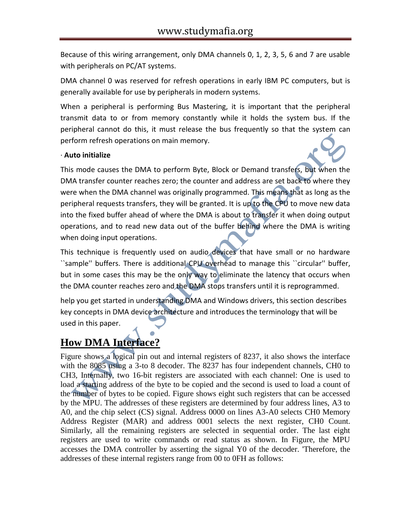Because of this wiring arrangement, only DMA channels 0, 1, 2, 3, 5, 6 and 7 are usable with peripherals on PC/AT systems.

DMA channel 0 was reserved for refresh operations in early IBM PC computers, but is generally available for use by peripherals in modern systems.

When a peripheral is performing Bus Mastering, it is important that the peripheral transmit data to or from memory constantly while it holds the system bus. If the peripheral cannot do this, it must release the bus frequently so that the system can perform refresh operations on main memory.

#### · **Auto initialize**

This mode causes the DMA to perform Byte, Block or Demand transfers, but when the DMA transfer counter reaches zero; the counter and address are set back to where they were when the DMA channel was originally programmed. This means that as long as the peripheral requests transfers, they will be granted. It is up to the CPU to move new data into the fixed buffer ahead of where the DMA is about to transfer it when doing output operations, and to read new data out of the buffer behind where the DMA is writing when doing input operations.

This technique is frequently used on audio devices that have small or no hardware ``sample'' buffers. There is additional CPU overhead to manage this ``circular'' buffer, but in some cases this may be the only way to eliminate the latency that occurs when the DMA counter reaches zero and the DMA stops transfers until it is reprogrammed.

help you get started in understanding DMA and Windows drivers, this section describes key concepts in DMA device architecture and introduces the terminology that will be used in this paper.

# **How DMA Interface?**

Figure shows a logical pin out and internal registers of 8237, it also shows the interface with the 8085 using a 3-to 8 decoder. The 8237 has four independent channels, CH0 to CH3, Internally, two 16-bit registers are associated with each channel: One is used to load a starting address of the byte to be copied and the second is used to load a count of the number of bytes to be copied. Figure shows eight such registers that can be accessed by the MPU. The addresses of these registers are determined by four address lines, A3 to A0, and the chip select (CS) signal. Address 0000 on lines A3-A0 selects CH0 Memory Address Register (MAR) and address 0001 selects the next register, CH0 Count. Similarly, all the remaining registers are selected in sequential order. The last eight registers are used to write commands or read status as shown. In Figure, the MPU accesses the DMA controller by asserting the signal Y0 of the decoder. 'Therefore, the addresses of these internal registers range from 00 to 0FH as follows: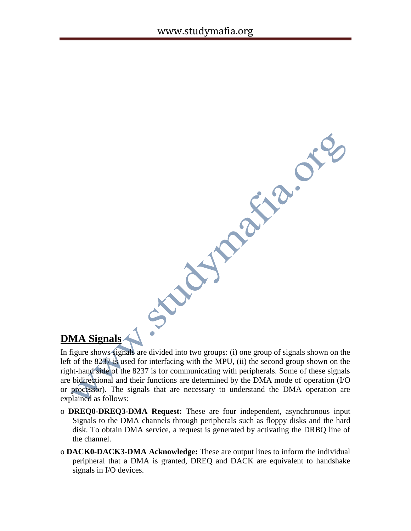## **DMA Signals**

**DMA Signals are divided into two groups: (i) one group of signals shown on the** left of the 823 $\pi$  is used for interfacing with the MPU, (ii) the second  $\pi$  into the size of the 8237 is for comparistion on the right-ha left of the 8237 is used for interfacing with the MPU, (ii) the second group shown on the right-hand side of the 8237 is for communicating with peripherals. Some of these signals are bidirectional and their functions are determined by the DMA mode of operation (I/O or processor). The signals that are necessary to understand the DMA operation are explained as follows:

- o **DREQ0-DREQ3-DMA Request:** These are four independent, asynchronous input Signals to the DMA channels through peripherals such as floppy disks and the hard disk. To obtain DMA service, a request is generated by activating the DRBQ line of the channel.
- o **DACK0-DACK3-DMA Acknowledge:** These are output lines to inform the individual peripheral that a DMA is granted, DREQ and DACK are equivalent to handshake signals in I/O devices.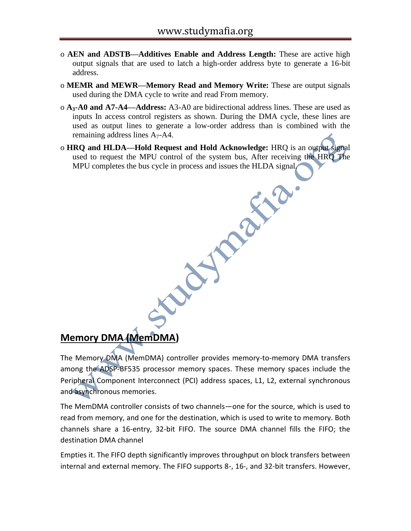- o **AEN and ADSTB—Additives Enable and Address Length:** These are active high output signals that are used to latch a high-order address byte to generate a 16-bit address.
- o **MEMR and MEWR—Memory Read and Memory Write:** These are output signals used during the DMA cycle to write and read From memory.
- o **A3-A0 and A7-A4—Address:** A3-A0 are bidirectional address lines. These are used as inputs In access control registers as shown. During the DMA cycle, these lines are used as output lines to generate a low-order address than is combined with the remaining address lines  $A_7$ -A4.
- o **HRQ and HLDA—Hold Request and Hold Acknowledge:** HRQ is an output signal used to request the MPU control of the system bus, After receiving the HRQ The MPU completes the bus cycle in process and issues the HLDA signal.

### **Memory DMA (MemDMA)**

The Memory DMA (MemDMA) controller provides memory-to-memory DMA transfers among the ADSP-BF535 processor memory spaces. These memory spaces include the Peripheral Component Interconnect (PCI) address spaces, L1, L2, external synchronous and asynchronous memories.

The MemDMA controller consists of two channels—one for the source, which is used to read from memory, and one for the destination, which is used to write to memory. Both channels share a 16-entry, 32-bit FIFO. The source DMA channel fills the FIFO; the destination DMA channel

Empties it. The FIFO depth significantly improves throughput on block transfers between internal and external memory. The FIFO supports 8-, 16-, and 32-bit transfers. However,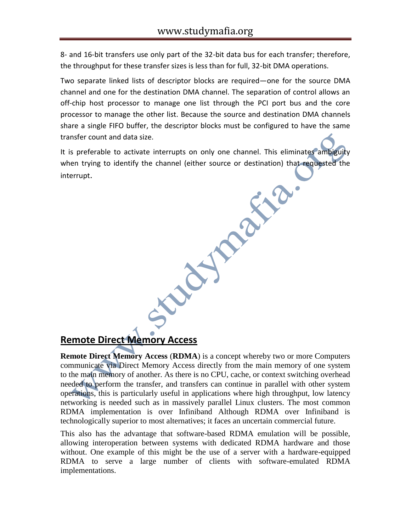8- and 16-bit transfers use only part of the 32-bit data bus for each transfer; therefore, the throughput for these transfer sizes is less than for full, 32-bit DMA operations.

Two separate linked lists of descriptor blocks are required—one for the source DMA channel and one for the destination DMA channel. The separation of control allows an off-chip host processor to manage one list through the PCI port bus and the core processor to manage the other list. Because the source and destination DMA channels share a single FIFO buffer, the descriptor blocks must be configured to have the same transfer count and data size.

It is preferable to activate interrupts on only one channel. This eliminates ambiguity when trying to identify the channel (either source or destination) that requested the<br>interrupt. interrupt.

## **Remote Direct Memory Access**

**Remote Direct Memory Access** (**RDMA**) is a concept whereby two or more Computers communicate via Direct Memory Access directly from the main memory of one system to the main memory of another. As there is no CPU, cache, or context switching overhead needed to perform the transfer, and transfers can continue in parallel with other system operations, this is particularly useful in applications where high throughput, low latency networking is needed such as in massively parallel Linux clusters. The most common RDMA implementation is over Infiniband Although RDMA over Infiniband is technologically superior to most alternatives; it faces an uncertain commercial future.

This also has the advantage that software-based RDMA emulation will be possible, allowing interoperation between systems with dedicated RDMA hardware and those without. One example of this might be the use of a server with a hardware-equipped RDMA to serve a large number of clients with software-emulated RDMA implementations.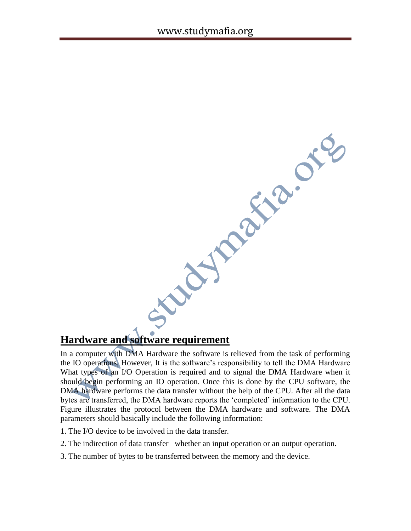Joseph's ore

## **Hardware and software requirement**

In a computer with DMA Hardware the software is relieved from the task of performing the IO operations, However, It is the software's responsibility to tell the DMA Hardware What types of an I/O Operation is required and to signal the DMA Hardware when it should begin performing an IO operation. Once this is done by the CPU software, the DMA hardware performs the data transfer without the help of the CPU. After all the data bytes are transferred, the DMA hardware reports the 'completed' information to the CPU. Figure illustrates the protocol between the DMA hardware and software. The DMA parameters should basically include the following information:

- 1. The I/O device to be involved in the data transfer.
- 2. The indirection of data transfer –whether an input operation or an output operation.
- 3. The number of bytes to be transferred between the memory and the device.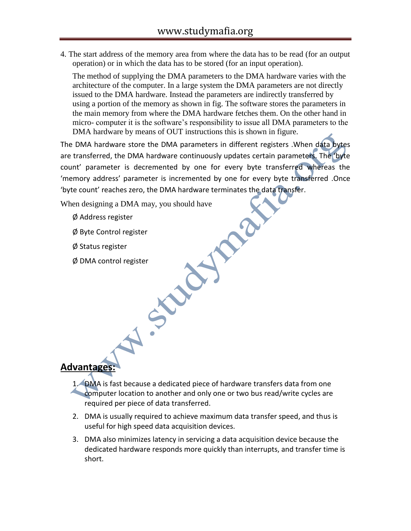4. The start address of the memory area from where the data has to be read (for an output operation) or in which the data has to be stored (for an input operation).

The method of supplying the DMA parameters to the DMA hardware varies with the architecture of the computer. In a large system the DMA parameters are not directly issued to the DMA hardware. Instead the parameters are indirectly transferred by using a portion of the memory as shown in fig. The software stores the parameters in the main memory from where the DMA hardware fetches them. On the other hand in micro- computer it is the software's responsibility to issue all DMA parameters to the DMA hardware by means of OUT instructions this is shown in figure.

The DMA hardware store the DMA parameters in different registers .When data bytes are transferred, the DMA hardware continuously updates certain parameters. The 'byte count' parameter is decremented by one for every byte transferred whereas the 'memory address' parameter is incremented by one for every byte transferred .Once 'byte count' reaches zero, the DMA hardware terminates the data transfer.

When designing a DMA may, you should have

- Ø Address register
- Ø Byte Control register
- Ø Status register
- Ø DMA control register

### **Advantages:**

- 1. DMA is fast because a dedicated piece of hardware transfers data from one computer location to another and only one or two bus read/write cycles are required per piece of data transferred.
- 2. DMA is usually required to achieve maximum data transfer speed, and thus is useful for high speed data acquisition devices.
- 3. DMA also minimizes latency in servicing a data acquisition device because the dedicated hardware responds more quickly than interrupts, and transfer time is short.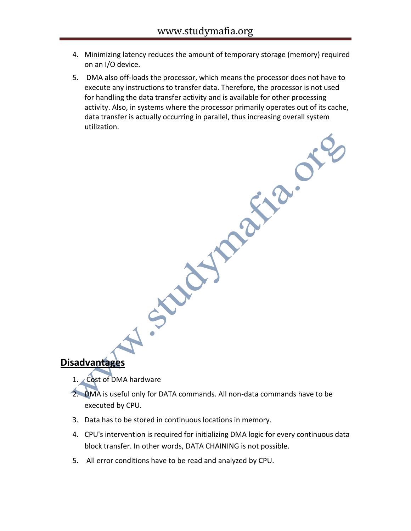- 4. Minimizing latency reduces the amount of temporary storage (memory) required on an I/O device.
- 5. DMA also off-loads the processor, which means the processor does not have to execute any instructions to transfer data. Therefore, the processor is not used for handling the data transfer activity and is available for other processing activity. Also, in systems where the processor primarily operates out of its cache,<br>data transfer is actually occurring in parallel, thus increasing overall system<br>utilization. data transfer is actually occurring in parallel, thus increasing overall system utilization.

**Disadvantages**

- 1. Cost of DMA hardware
- 2. DMA is useful only for DATA commands. All non-data commands have to be executed by CPU.
- 3. Data has to be stored in continuous locations in memory.
- 4. CPU's intervention is required for initializing DMA logic for every continuous data block transfer. In other words, DATA CHAINING is not possible.
- 5. All error conditions have to be read and analyzed by CPU.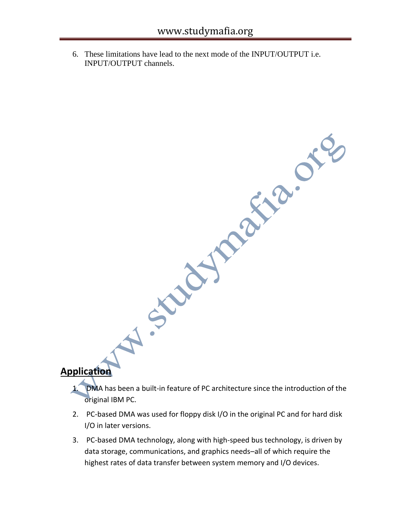6. These limitations have lead to the next mode of the INPUT/OUTPUT i.e. INPUT/OUTPUT channels.

### **Application**

- H .S Kitchman org 1. DMA has been a built-in feature of PC architecture since the introduction of the original IBM PC.
- 2. PC-based DMA was used for floppy disk I/O in the original PC and for hard disk I/O in later versions.
- 3. PC-based DMA technology, along with high-speed bus technology, is driven by data storage, communications, and graphics needs–all of which require the highest rates of data transfer between system memory and I/O devices.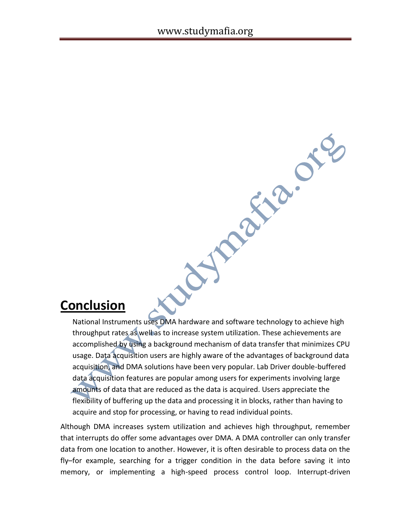# **Conclusion**

National Instruments uses DMA hardware and software technology to achieve high throughput rates as well as to increase system utilization. These achievements are accomplished by using a background mechanism of data transfer that minimizes CPU usage. Data acquisition users are highly aware of the advantages of background data acquisition, and DMA solutions have been very popular. Lab Driver double-buffered data acquisition features are popular among users for experiments involving large amounts of data that are reduced as the data is acquired. Users appreciate the flexibility of buffering up the data and processing it in blocks, rather than having to acquire and stop for processing, or having to read individual points.

REC.

**Magical** 

Although DMA increases system utilization and achieves high throughput, remember that interrupts do offer some advantages over DMA. A DMA controller can only transfer data from one location to another. However, it is often desirable to process data on the fly–for example, searching for a trigger condition in the data before saving it into memory, or implementing a high-speed process control loop. Interrupt-driven